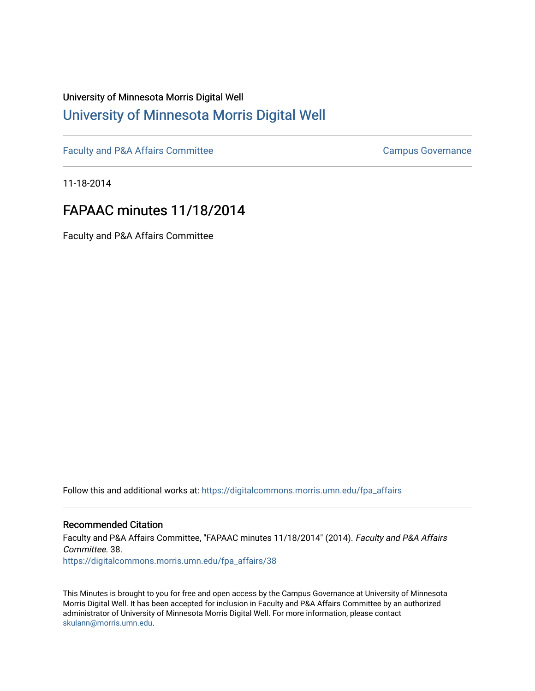# University of Minnesota Morris Digital Well [University of Minnesota Morris Digital Well](https://digitalcommons.morris.umn.edu/)

[Faculty and P&A Affairs Committee](https://digitalcommons.morris.umn.edu/fpa_affairs) [Campus Governance](https://digitalcommons.morris.umn.edu/campgov) Campus Governance

11-18-2014

# FAPAAC minutes 11/18/2014

Faculty and P&A Affairs Committee

Follow this and additional works at: [https://digitalcommons.morris.umn.edu/fpa\\_affairs](https://digitalcommons.morris.umn.edu/fpa_affairs?utm_source=digitalcommons.morris.umn.edu%2Ffpa_affairs%2F38&utm_medium=PDF&utm_campaign=PDFCoverPages)

#### Recommended Citation

Faculty and P&A Affairs Committee, "FAPAAC minutes 11/18/2014" (2014). Faculty and P&A Affairs Committee. 38. [https://digitalcommons.morris.umn.edu/fpa\\_affairs/38](https://digitalcommons.morris.umn.edu/fpa_affairs/38?utm_source=digitalcommons.morris.umn.edu%2Ffpa_affairs%2F38&utm_medium=PDF&utm_campaign=PDFCoverPages) 

This Minutes is brought to you for free and open access by the Campus Governance at University of Minnesota Morris Digital Well. It has been accepted for inclusion in Faculty and P&A Affairs Committee by an authorized administrator of University of Minnesota Morris Digital Well. For more information, please contact [skulann@morris.umn.edu.](mailto:skulann@morris.umn.edu)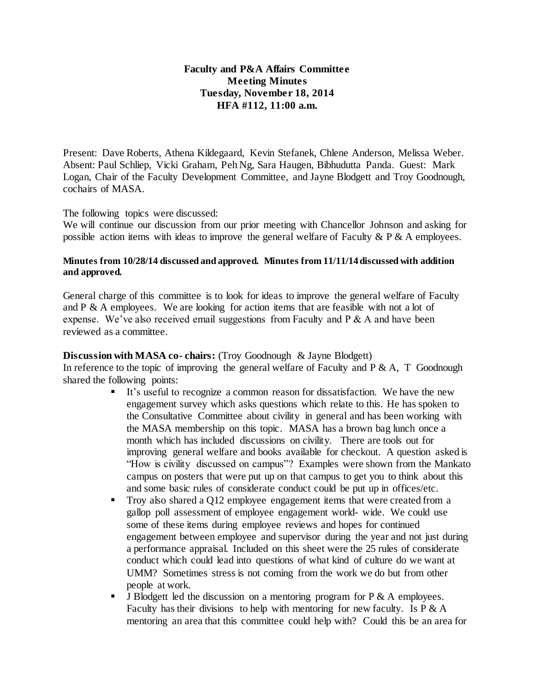## **Faculty and P&A Affairs Committee Meeting Minutes Tuesday, November 18, 2014 HFA #112, 11:00 a.m.**

Present: Dave Roberts, Athena Kildegaard, Kevin Stefanek, Chlene Anderson, Melissa Weber. Absent: Paul Schliep, Vicki Graham, Peh Ng, Sara Haugen, Bibhudutta Panda. Guest: Mark Logan, Chair of the Faculty Development Committee, and Jayne Blodgett and Troy Goodnough, cochairs of MASA.

#### The following topics were discussed:

We will continue our discussion from our prior meeting with Chancellor Johnson and asking for possible action items with ideas to improve the general welfare of Faculty  $\& P \& A$  employees.

#### **Minutes from 10/28/14 discussed and approved. Minutes from 11/11/14 discussed with addition and approved.**

General charge of this committee is to look for ideas to improve the general welfare of Faculty and  $P \& A$  employees. We are looking for action items that are feasible with not a lot of expense. We've also received email suggestions from Faculty and P & A and have been reviewed as a committee.

### **Discussion with MASA co- chairs:** (Troy Goodnough & Jayne Blodgett)

In reference to the topic of improving the general welfare of Faculty and  $P \& A$ , T Goodnough shared the following points:

- It's useful to recognize a common reason for dissatisfaction. We have the new engagement survey which asks questions which relate to this. He has spoken to the Consultative Committee about civility in general and has been working with the MASA membership on this topic. MASA has a brown bag lunch once a month which has included discussions on civility. There are tools out for improving general welfare and books available for checkout. A question asked is "How is civility discussed on campus"? Examples were shown from the Mankato campus on posters that were put up on that campus to get you to think about this and some basic rules of considerate conduct could be put up in offices/etc.
- Troy also shared a Q12 employee engagement items that were created from a gallop poll assessment of employee engagement world- wide. We could use some of these items during employee reviews and hopes for continued engagement between employee and supervisor during the year and not just during a performance appraisal. Included on this sheet were the 25 rules of considerate conduct which could lead into questions of what kind of culture do we want at UMM? Sometimes stress is not coming from the work we do but from other people at work.
- **J** Blodgett led the discussion on a mentoring program for  $P \& A$  employees. Faculty has their divisions to help with mentoring for new faculty. Is  $P \& A$ mentoring an area that this committee could help with? Could this be an area for